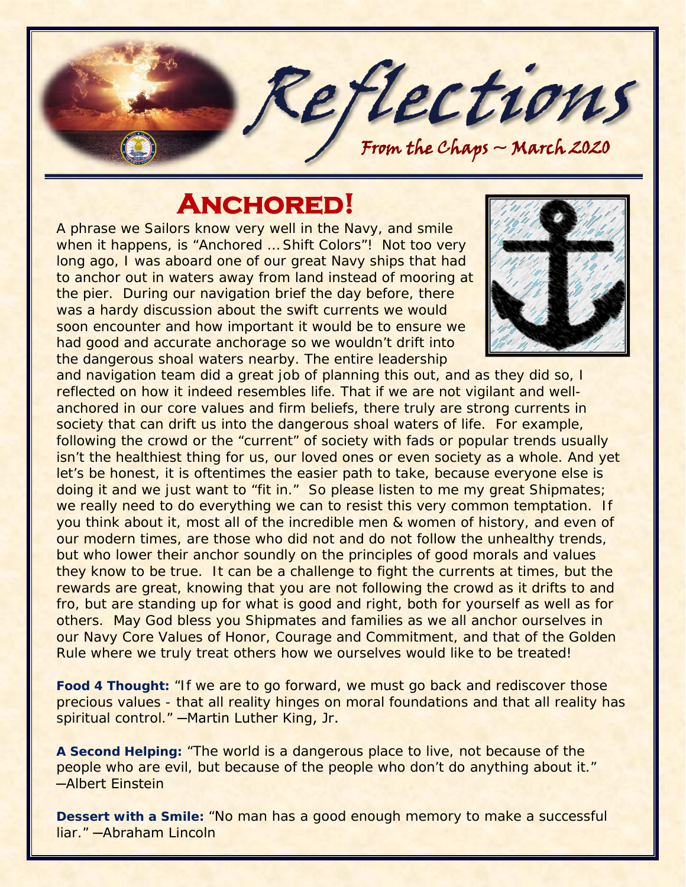

# **Anchored!**

A phrase we Sailors know very well in the Navy, and smile when it happens, is "Anchored … Shift Colors"! Not too very long ago, I was aboard one of our great Navy ships that had to anchor out in waters away from land instead of mooring at the pier. During our navigation brief the day before, there was a hardy discussion about the swift currents we would soon encounter and how important it would be to ensure we had good and accurate anchorage so we wouldn't drift into the dangerous shoal waters nearby. The entire leadership



and navigation team did a great job of planning this out, and as they did so, I reflected on how it indeed resembles life. That if we are not vigilant and wellanchored in our core values and firm beliefs, there truly are strong currents in society that can drift us into the dangerous shoal waters of life. For example, following the crowd or the "current" of society with fads or popular trends usually isn't the healthiest thing for us, our loved ones or even society as a whole. And yet let's be honest, it is oftentimes the easier path to take, because everyone else is doing it and we just want to "fit in." So please listen to me my great Shipmates; we really need to do everything we can to resist this very common temptation. If you think about it, most all of the incredible men & women of history, and even of our modern times, are those who did not and do not follow the unhealthy trends, but who lower their anchor soundly on the principles of good morals and values they know to be true. It can be a challenge to fight the currents at times, but the rewards are great, knowing that you are not following the crowd as it drifts to and fro, but are standing up for what is good and right, both for yourself as well as for others. May God bless you Shipmates and families as we all anchor ourselves in our Navy Core Values of Honor, Courage and Commitment, and that of the Golden Rule where we truly treat others how we ourselves would like to be treated!

**Food 4 Thought:** *"If we are to go forward, we must go back and rediscover those precious values - that all reality hinges on moral foundations and that all reality has spiritual control."* ─Martin Luther King, Jr.

**A Second Helping:** *"The world is a dangerous place to live, not because of the people who are evil, but because of the people who don't do anything about it."*  ─Albert Einstein

**Dessert with a Smile:** *"No man has a good enough memory to make a successful liar."* ─Abraham Lincoln